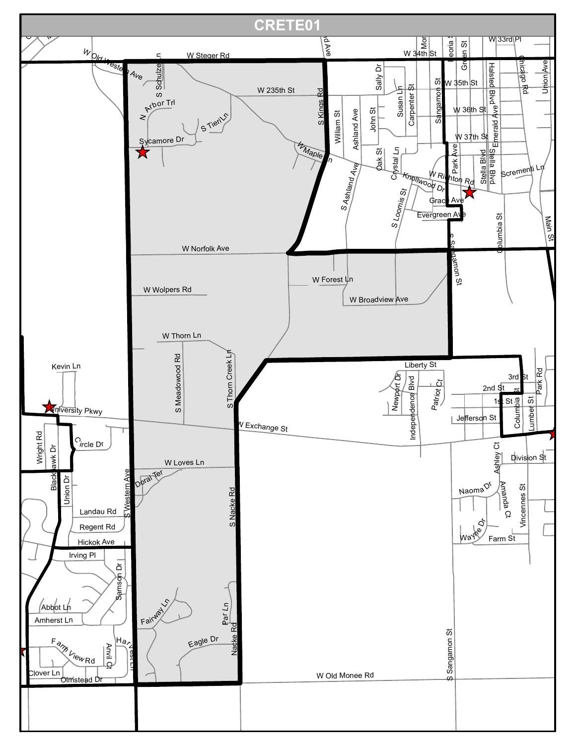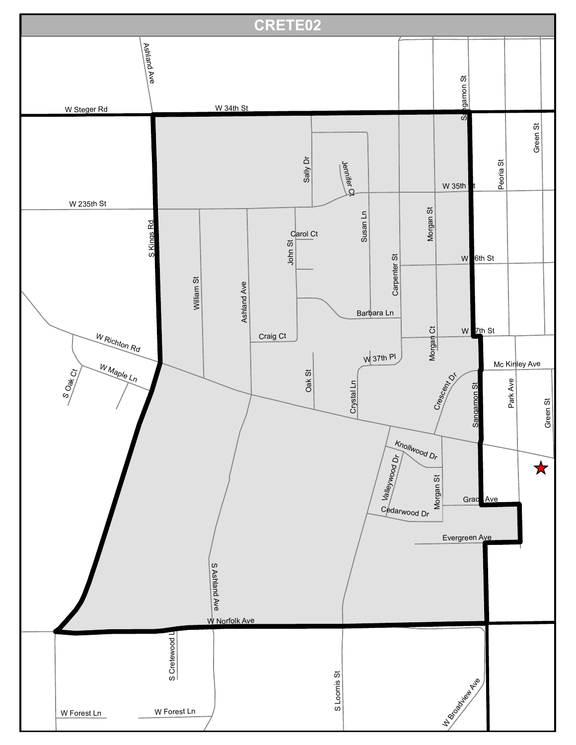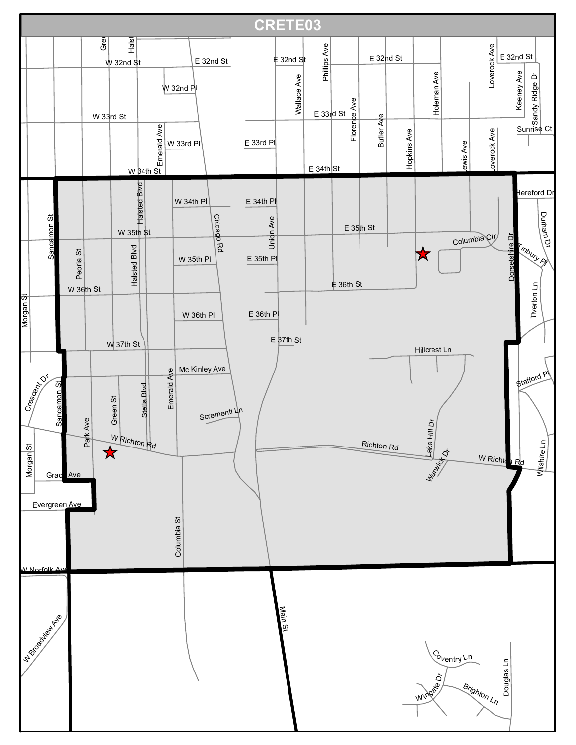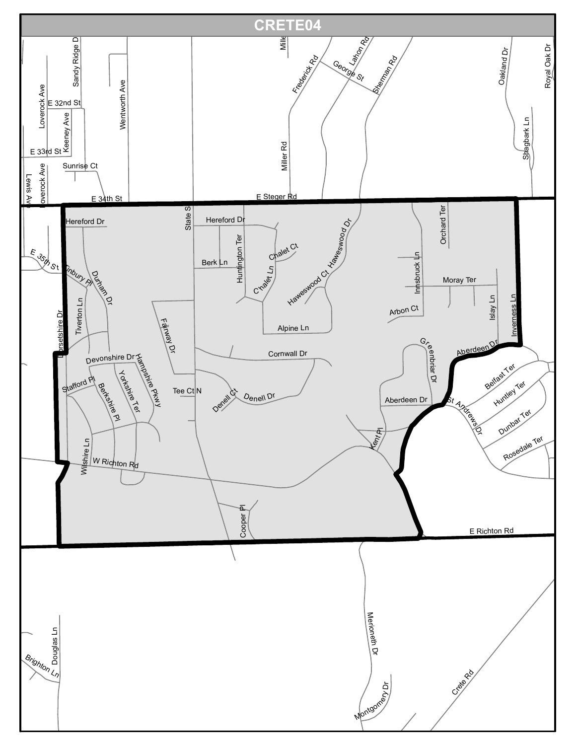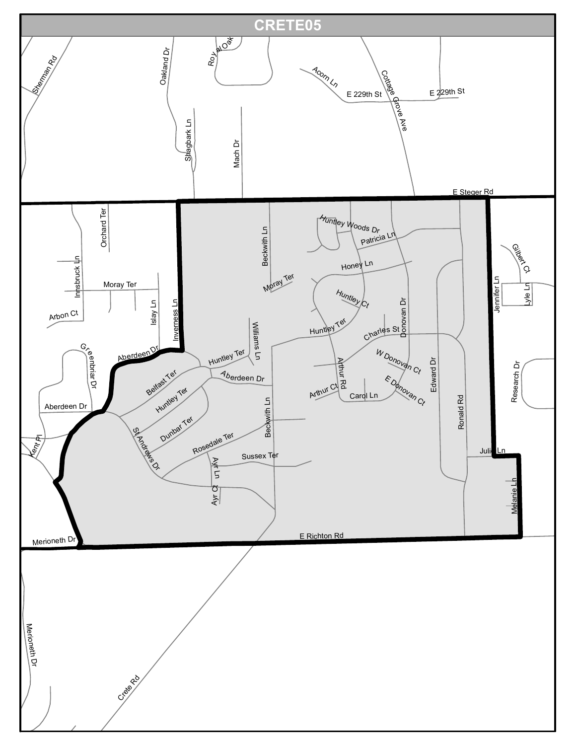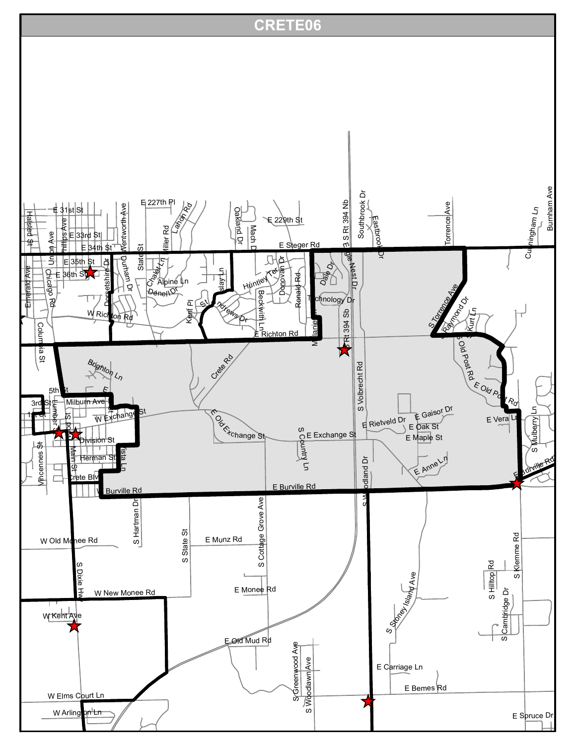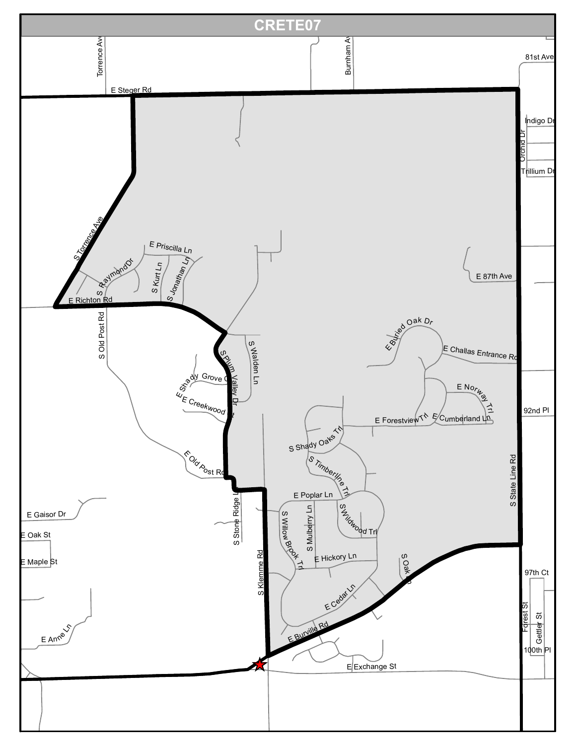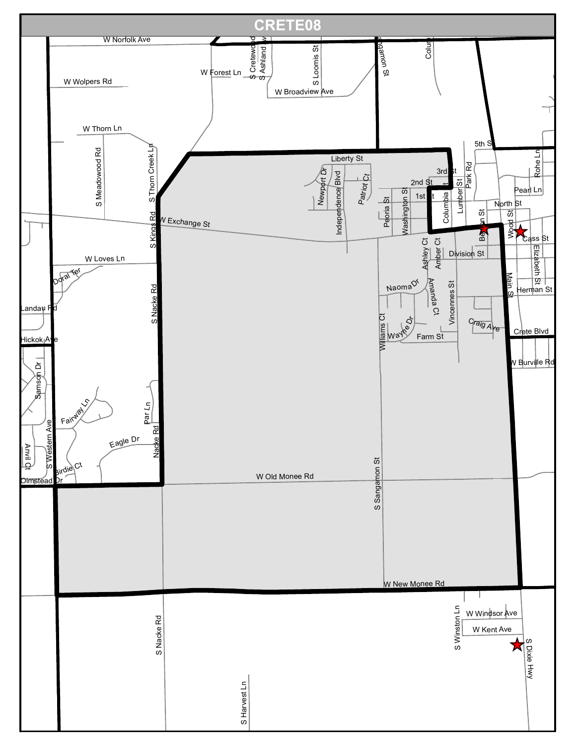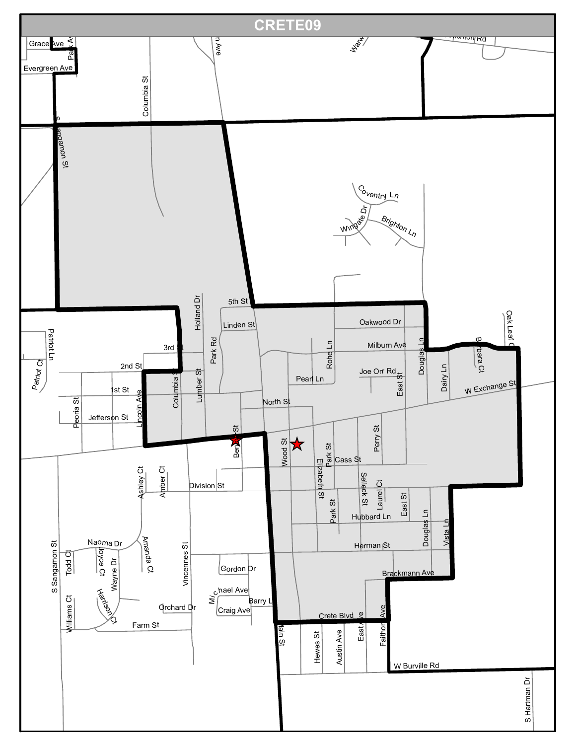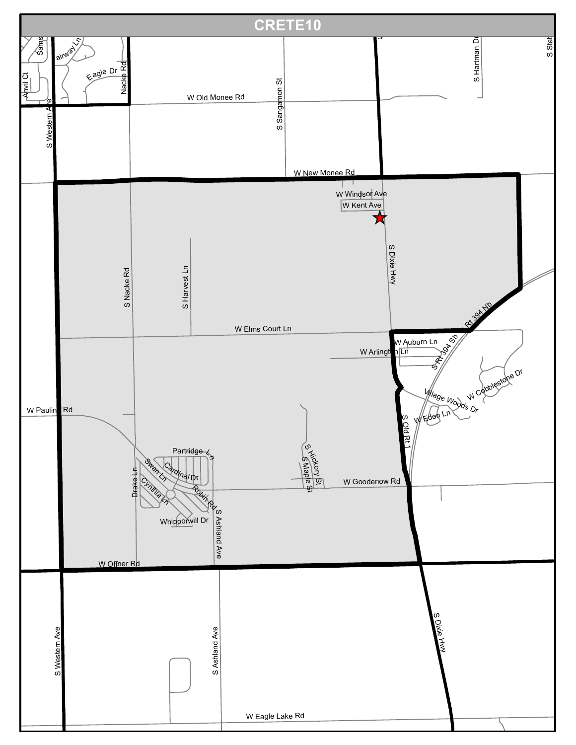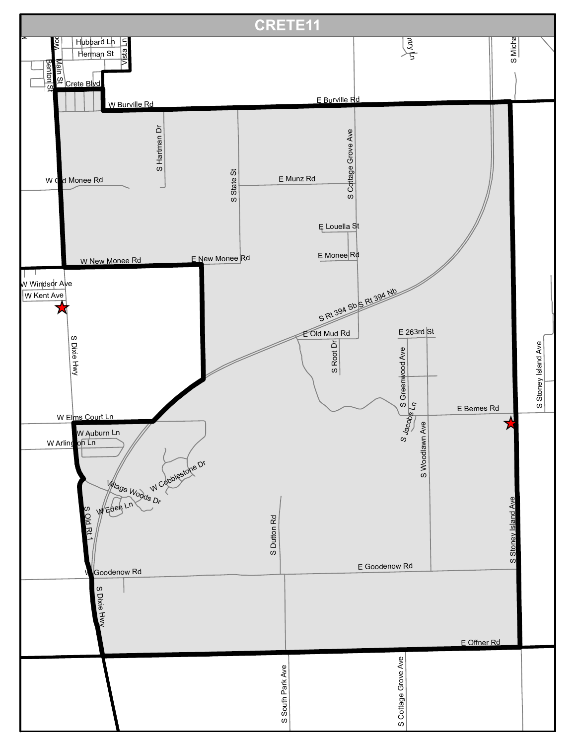